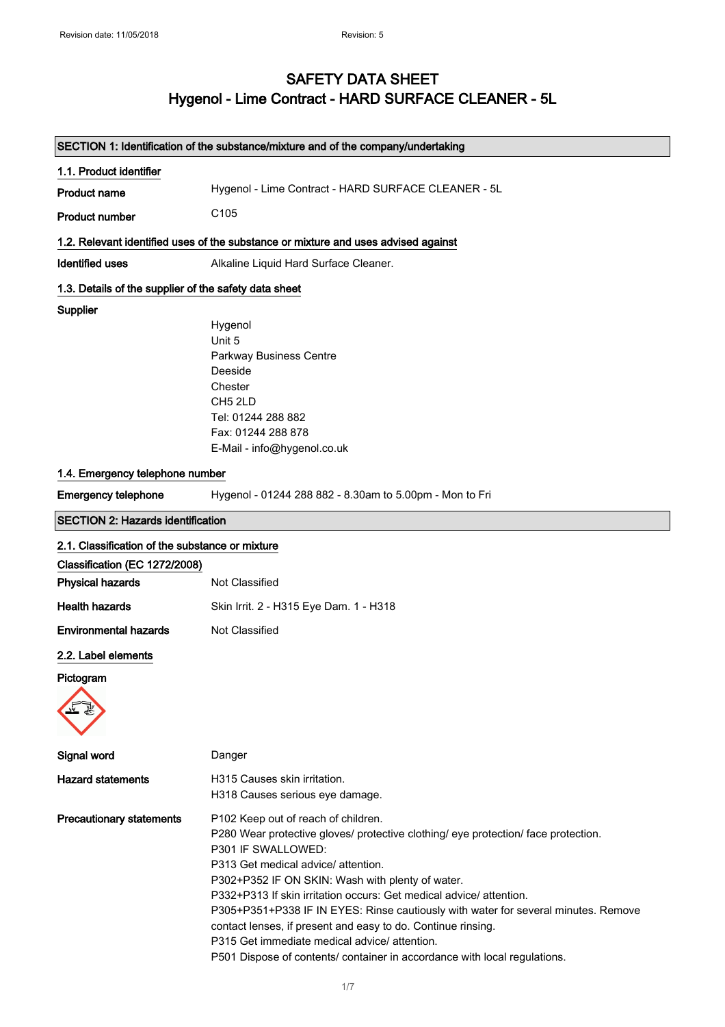# SAFETY DATA SHEET Hygenol - Lime Contract - HARD SURFACE CLEANER - 5L

|                                                       | SECTION 1: Identification of the substance/mixture and of the company/undertaking                                                                                                                                                                                                                                                                                                                                                                                                                                                                                                                    |
|-------------------------------------------------------|------------------------------------------------------------------------------------------------------------------------------------------------------------------------------------------------------------------------------------------------------------------------------------------------------------------------------------------------------------------------------------------------------------------------------------------------------------------------------------------------------------------------------------------------------------------------------------------------------|
| 1.1. Product identifier                               |                                                                                                                                                                                                                                                                                                                                                                                                                                                                                                                                                                                                      |
| <b>Product name</b>                                   | Hygenol - Lime Contract - HARD SURFACE CLEANER - 5L                                                                                                                                                                                                                                                                                                                                                                                                                                                                                                                                                  |
| <b>Product number</b>                                 | C <sub>105</sub>                                                                                                                                                                                                                                                                                                                                                                                                                                                                                                                                                                                     |
|                                                       | 1.2. Relevant identified uses of the substance or mixture and uses advised against                                                                                                                                                                                                                                                                                                                                                                                                                                                                                                                   |
| <b>Identified uses</b>                                | Alkaline Liquid Hard Surface Cleaner.                                                                                                                                                                                                                                                                                                                                                                                                                                                                                                                                                                |
| 1.3. Details of the supplier of the safety data sheet |                                                                                                                                                                                                                                                                                                                                                                                                                                                                                                                                                                                                      |
| <b>Supplier</b>                                       |                                                                                                                                                                                                                                                                                                                                                                                                                                                                                                                                                                                                      |
|                                                       | Hygenol                                                                                                                                                                                                                                                                                                                                                                                                                                                                                                                                                                                              |
|                                                       | Unit 5                                                                                                                                                                                                                                                                                                                                                                                                                                                                                                                                                                                               |
|                                                       | Parkway Business Centre                                                                                                                                                                                                                                                                                                                                                                                                                                                                                                                                                                              |
|                                                       | Deeside                                                                                                                                                                                                                                                                                                                                                                                                                                                                                                                                                                                              |
|                                                       | Chester                                                                                                                                                                                                                                                                                                                                                                                                                                                                                                                                                                                              |
|                                                       | CH <sub>5</sub> 2LD<br>Tel: 01244 288 882                                                                                                                                                                                                                                                                                                                                                                                                                                                                                                                                                            |
|                                                       | Fax: 01244 288 878                                                                                                                                                                                                                                                                                                                                                                                                                                                                                                                                                                                   |
|                                                       | E-Mail - info@hygenol.co.uk                                                                                                                                                                                                                                                                                                                                                                                                                                                                                                                                                                          |
|                                                       |                                                                                                                                                                                                                                                                                                                                                                                                                                                                                                                                                                                                      |
| 1.4. Emergency telephone number                       |                                                                                                                                                                                                                                                                                                                                                                                                                                                                                                                                                                                                      |
| <b>Emergency telephone</b>                            | Hygenol - 01244 288 882 - 8.30am to 5.00pm - Mon to Fri                                                                                                                                                                                                                                                                                                                                                                                                                                                                                                                                              |
| <b>SECTION 2: Hazards identification</b>              |                                                                                                                                                                                                                                                                                                                                                                                                                                                                                                                                                                                                      |
| 2.1. Classification of the substance or mixture       |                                                                                                                                                                                                                                                                                                                                                                                                                                                                                                                                                                                                      |
| Classification (EC 1272/2008)                         |                                                                                                                                                                                                                                                                                                                                                                                                                                                                                                                                                                                                      |
| <b>Physical hazards</b>                               | Not Classified                                                                                                                                                                                                                                                                                                                                                                                                                                                                                                                                                                                       |
| <b>Health hazards</b>                                 | Skin Irrit. 2 - H315 Eye Dam. 1 - H318                                                                                                                                                                                                                                                                                                                                                                                                                                                                                                                                                               |
| <b>Environmental hazards</b>                          | Not Classified                                                                                                                                                                                                                                                                                                                                                                                                                                                                                                                                                                                       |
| 2.2. Label elements                                   |                                                                                                                                                                                                                                                                                                                                                                                                                                                                                                                                                                                                      |
| Pictogram                                             |                                                                                                                                                                                                                                                                                                                                                                                                                                                                                                                                                                                                      |
|                                                       |                                                                                                                                                                                                                                                                                                                                                                                                                                                                                                                                                                                                      |
|                                                       |                                                                                                                                                                                                                                                                                                                                                                                                                                                                                                                                                                                                      |
|                                                       |                                                                                                                                                                                                                                                                                                                                                                                                                                                                                                                                                                                                      |
| Signal word                                           | Danger                                                                                                                                                                                                                                                                                                                                                                                                                                                                                                                                                                                               |
| <b>Hazard statements</b>                              | H315 Causes skin irritation.<br>H318 Causes serious eye damage.                                                                                                                                                                                                                                                                                                                                                                                                                                                                                                                                      |
| <b>Precautionary statements</b>                       | P102 Keep out of reach of children.<br>P280 Wear protective gloves/ protective clothing/ eye protection/ face protection.<br>P301 IF SWALLOWED:<br>P313 Get medical advice/ attention.<br>P302+P352 IF ON SKIN: Wash with plenty of water.<br>P332+P313 If skin irritation occurs: Get medical advice/ attention.<br>P305+P351+P338 IF IN EYES: Rinse cautiously with water for several minutes. Remove<br>contact lenses, if present and easy to do. Continue rinsing.<br>P315 Get immediate medical advice/attention.<br>P501 Dispose of contents/ container in accordance with local regulations. |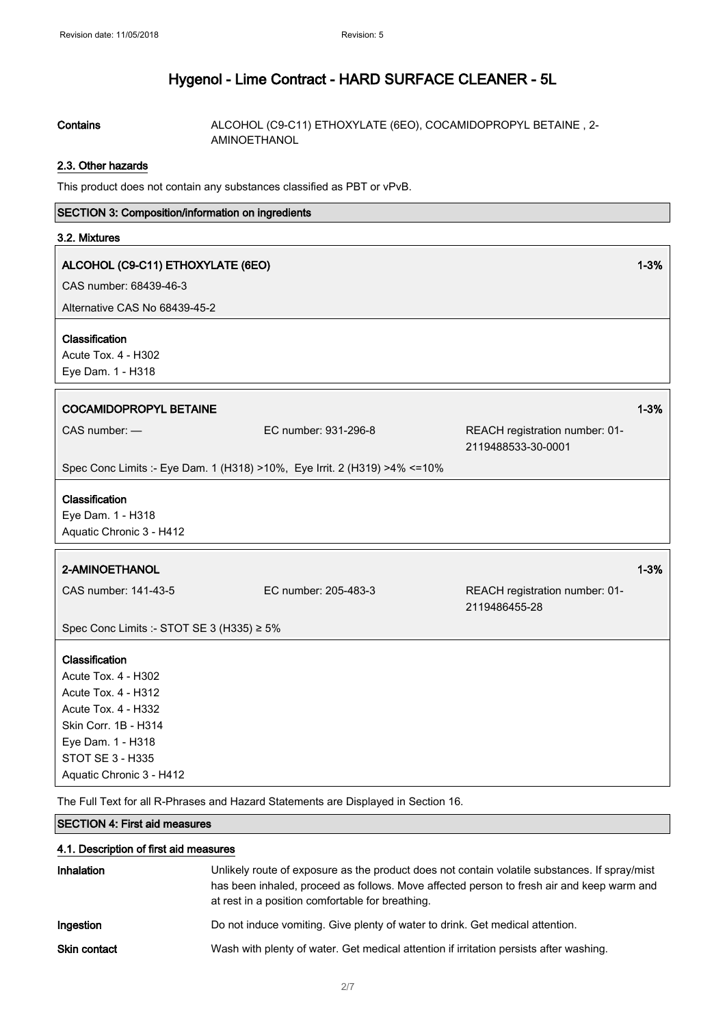Contains **Contains** ALCOHOL (C9-C11) ETHOXYLATE (6EO), COCAMIDOPROPYL BETAINE, 2-AMINOETHANOL

## 2.3. Other hazards

This product does not contain any substances classified as PBT or vPvB.

#### SECTION 3: Composition/information on ingredients

#### 3.2. Mixtures

### ALCOHOL (C9-C11) ETHOXYLATE (6EO) 1-3%

CAS number: 68439-46-3

Alternative CAS No 68439-45-2

#### Classification

Acute Tox. 4 - H302

| $ACUTE$ TOX. $4 - D30Z$<br>Eye Dam. 1 - H318                                                                                                                       |                      |                                                      |          |
|--------------------------------------------------------------------------------------------------------------------------------------------------------------------|----------------------|------------------------------------------------------|----------|
| <b>COCAMIDOPROPYL BETAINE</b>                                                                                                                                      |                      |                                                      | $1 - 3%$ |
| $CAS$ number: $-$                                                                                                                                                  | EC number: 931-296-8 | REACH registration number: 01-<br>2119488533-30-0001 |          |
| Spec Conc Limits :- Eye Dam. 1 (H318) >10%, Eye Irrit. 2 (H319) >4% <= 10%                                                                                         |                      |                                                      |          |
| Classification<br>Eye Dam. 1 - H318<br>Aquatic Chronic 3 - H412                                                                                                    |                      |                                                      |          |
| 2-AMINOETHANOL                                                                                                                                                     |                      |                                                      | $1 - 3%$ |
| CAS number: 141-43-5                                                                                                                                               | EC number: 205-483-3 | REACH registration number: 01-<br>2119486455-28      |          |
| Spec Conc Limits :- STOT SE 3 (H335) $\geq 5\%$                                                                                                                    |                      |                                                      |          |
| Classification<br>Acute Tox. 4 - H302<br><b>Acute Tox. 4 - H312</b><br>Acute Tox. 4 - H332<br>Skin Corr. 1B - H314<br>Eye Dam. 1 - H318<br><b>STOT SE 3 - H335</b> |                      |                                                      |          |

The Full Text for all R-Phrases and Hazard Statements are Displayed in Section 16.

### SECTION 4: First aid measures

#### 4.1. Description of first aid measures

| <b>Inhalation</b>   | Unlikely route of exposure as the product does not contain volatile substances. If spray/mist<br>has been inhaled, proceed as follows. Move affected person to fresh air and keep warm and<br>at rest in a position comfortable for breathing. |
|---------------------|------------------------------------------------------------------------------------------------------------------------------------------------------------------------------------------------------------------------------------------------|
| Ingestion           | Do not induce vomiting. Give plenty of water to drink. Get medical attention.                                                                                                                                                                  |
| <b>Skin contact</b> | Wash with plenty of water. Get medical attention if irritation persists after washing.                                                                                                                                                         |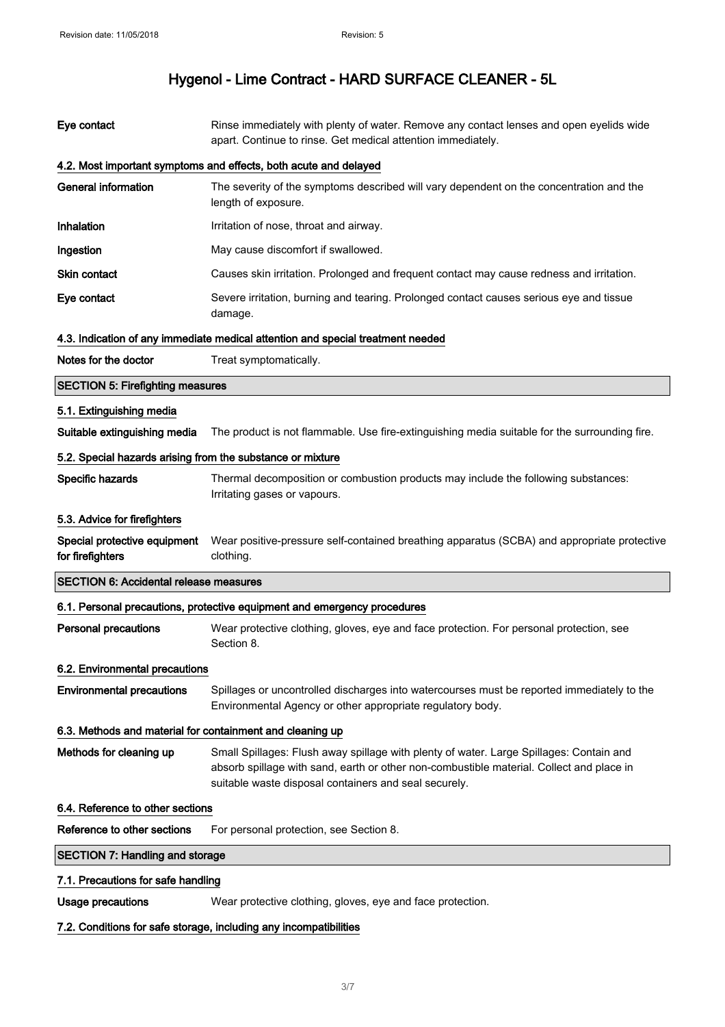| Eye contact                                                | Rinse immediately with plenty of water. Remove any contact lenses and open eyelids wide<br>apart. Continue to rinse. Get medical attention immediately.                                                                                      |  |
|------------------------------------------------------------|----------------------------------------------------------------------------------------------------------------------------------------------------------------------------------------------------------------------------------------------|--|
|                                                            | 4.2. Most important symptoms and effects, both acute and delayed                                                                                                                                                                             |  |
| <b>General information</b>                                 | The severity of the symptoms described will vary dependent on the concentration and the<br>length of exposure.                                                                                                                               |  |
| <b>Inhalation</b>                                          | Irritation of nose, throat and airway.                                                                                                                                                                                                       |  |
| Ingestion                                                  | May cause discomfort if swallowed.                                                                                                                                                                                                           |  |
| Skin contact                                               | Causes skin irritation. Prolonged and frequent contact may cause redness and irritation.                                                                                                                                                     |  |
| Eye contact                                                | Severe irritation, burning and tearing. Prolonged contact causes serious eye and tissue<br>damage.                                                                                                                                           |  |
|                                                            | 4.3. Indication of any immediate medical attention and special treatment needed                                                                                                                                                              |  |
| Notes for the doctor                                       | Treat symptomatically.                                                                                                                                                                                                                       |  |
| <b>SECTION 5: Firefighting measures</b>                    |                                                                                                                                                                                                                                              |  |
| 5.1. Extinguishing media                                   |                                                                                                                                                                                                                                              |  |
| Suitable extinguishing media                               | The product is not flammable. Use fire-extinguishing media suitable for the surrounding fire.                                                                                                                                                |  |
| 5.2. Special hazards arising from the substance or mixture |                                                                                                                                                                                                                                              |  |
| Specific hazards                                           | Thermal decomposition or combustion products may include the following substances:<br>Irritating gases or vapours.                                                                                                                           |  |
| 5.3. Advice for firefighters                               |                                                                                                                                                                                                                                              |  |
| Special protective equipment<br>for firefighters           | Wear positive-pressure self-contained breathing apparatus (SCBA) and appropriate protective<br>clothing.                                                                                                                                     |  |
| <b>SECTION 6: Accidental release measures</b>              |                                                                                                                                                                                                                                              |  |
|                                                            | 6.1. Personal precautions, protective equipment and emergency procedures                                                                                                                                                                     |  |
| <b>Personal precautions</b>                                | Wear protective clothing, gloves, eye and face protection. For personal protection, see<br>Section 8.                                                                                                                                        |  |
| 6.2. Environmental precautions                             |                                                                                                                                                                                                                                              |  |
| <b>Environmental precautions</b>                           | Spillages or uncontrolled discharges into watercourses must be reported immediately to the<br>Environmental Agency or other appropriate regulatory body.                                                                                     |  |
| 6.3. Methods and material for containment and cleaning up  |                                                                                                                                                                                                                                              |  |
| Methods for cleaning up                                    | Small Spillages: Flush away spillage with plenty of water. Large Spillages: Contain and<br>absorb spillage with sand, earth or other non-combustible material. Collect and place in<br>suitable waste disposal containers and seal securely. |  |
| 6.4. Reference to other sections                           |                                                                                                                                                                                                                                              |  |
| Reference to other sections                                | For personal protection, see Section 8.                                                                                                                                                                                                      |  |
| <b>SECTION 7: Handling and storage</b>                     |                                                                                                                                                                                                                                              |  |
| 7.1. Precautions for safe handling                         |                                                                                                                                                                                                                                              |  |
| Usage precautions                                          | Wear protective clothing, gloves, eye and face protection.                                                                                                                                                                                   |  |

# 7.2. Conditions for safe storage, including any incompatibilities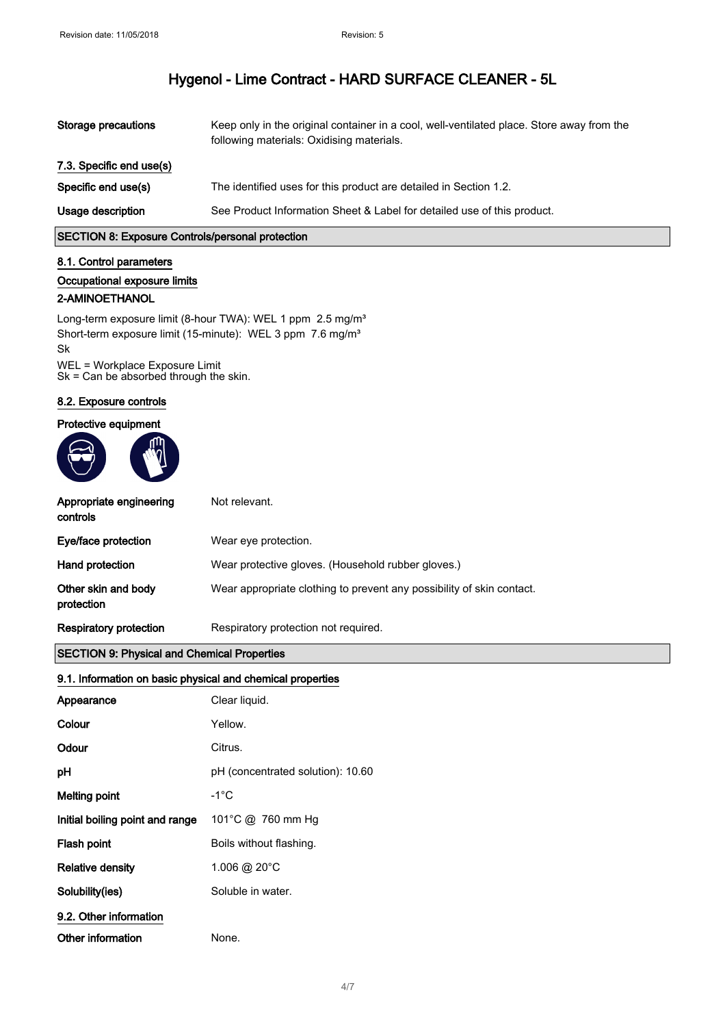| Storage precautions      | Keep only in the original container in a cool, well-ventilated place. Store away from the<br>following materials: Oxidising materials. |
|--------------------------|----------------------------------------------------------------------------------------------------------------------------------------|
| 7.3. Specific end use(s) |                                                                                                                                        |
| Specific end use(s)      | The identified uses for this product are detailed in Section 1.2.                                                                      |
| Usage description        | See Product Information Sheet & Label for detailed use of this product.                                                                |

## SECTION 8: Exposure Controls/personal protection

#### 8.1. Control parameters

#### Occupational exposure limits

#### 2-AMINOETHANOL

Long-term exposure limit (8-hour TWA): WEL 1 ppm 2.5 mg/m<sup>3</sup> Short-term exposure limit (15-minute): WEL 3 ppm 7.6 mg/m<sup>3</sup> Sk WEL = Workplace Exposure Limit

Sk = Can be absorbed through the skin.

#### 8.2. Exposure controls

#### Protective equipment



| Appropriate engineering<br>controls | Not relevant.                                                         |
|-------------------------------------|-----------------------------------------------------------------------|
| Eye/face protection                 | Wear eye protection.                                                  |
| Hand protection                     | Wear protective gloves. (Household rubber gloves.)                    |
| Other skin and body<br>protection   | Wear appropriate clothing to prevent any possibility of skin contact. |
| Respiratory protection              | Respiratory protection not required.                                  |
|                                     |                                                                       |

## SECTION 9: Physical and Chemical Properties

### 9.1. Information on basic physical and chemical properties

| Appearance                      | Clear liquid.                     |
|---------------------------------|-----------------------------------|
| Colour                          | Yellow.                           |
| Odour                           | Citrus.                           |
| рH                              | pH (concentrated solution): 10.60 |
| Melting point                   | -1°C                              |
| Initial boiling point and range | 101°C @ 760 mm Hg                 |
| Flash point                     | Boils without flashing.           |
| <b>Relative density</b>         | 1.006 @ 20 $^{\circ}$ C           |
| Solubility(ies)                 | Soluble in water.                 |
| 9.2. Other information          |                                   |
| Other information               | None.                             |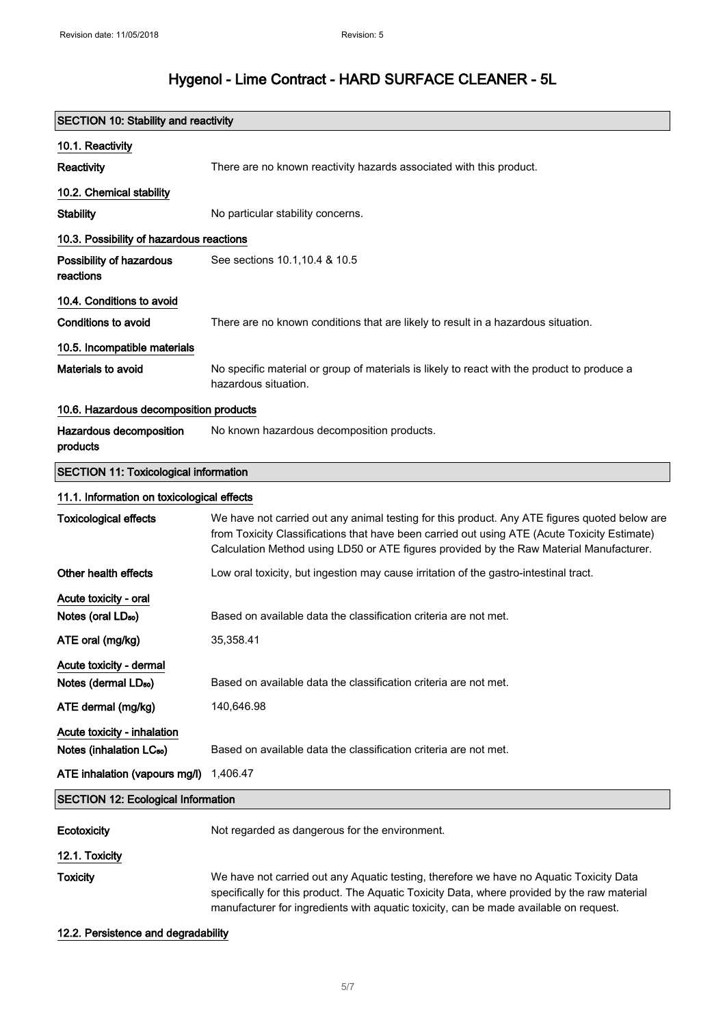| <b>SECTION 10: Stability and reactivity</b>                 |                                                                                                                                                                                                                                                                                          |  |
|-------------------------------------------------------------|------------------------------------------------------------------------------------------------------------------------------------------------------------------------------------------------------------------------------------------------------------------------------------------|--|
| 10.1. Reactivity                                            |                                                                                                                                                                                                                                                                                          |  |
| Reactivity                                                  | There are no known reactivity hazards associated with this product.                                                                                                                                                                                                                      |  |
| 10.2. Chemical stability                                    |                                                                                                                                                                                                                                                                                          |  |
| <b>Stability</b>                                            | No particular stability concerns.                                                                                                                                                                                                                                                        |  |
| 10.3. Possibility of hazardous reactions                    |                                                                                                                                                                                                                                                                                          |  |
| Possibility of hazardous<br>reactions                       | See sections 10.1, 10.4 & 10.5                                                                                                                                                                                                                                                           |  |
| 10.4. Conditions to avoid                                   |                                                                                                                                                                                                                                                                                          |  |
| <b>Conditions to avoid</b>                                  | There are no known conditions that are likely to result in a hazardous situation.                                                                                                                                                                                                        |  |
| 10.5. Incompatible materials                                |                                                                                                                                                                                                                                                                                          |  |
| Materials to avoid                                          | No specific material or group of materials is likely to react with the product to produce a<br>hazardous situation.                                                                                                                                                                      |  |
| 10.6. Hazardous decomposition products                      |                                                                                                                                                                                                                                                                                          |  |
| Hazardous decomposition<br>products                         | No known hazardous decomposition products.                                                                                                                                                                                                                                               |  |
| <b>SECTION 11: Toxicological information</b>                |                                                                                                                                                                                                                                                                                          |  |
| 11.1. Information on toxicological effects                  |                                                                                                                                                                                                                                                                                          |  |
| <b>Toxicological effects</b>                                | We have not carried out any animal testing for this product. Any ATE figures quoted below are<br>from Toxicity Classifications that have been carried out using ATE (Acute Toxicity Estimate)<br>Calculation Method using LD50 or ATE figures provided by the Raw Material Manufacturer. |  |
| Other health effects                                        | Low oral toxicity, but ingestion may cause irritation of the gastro-intestinal tract.                                                                                                                                                                                                    |  |
| Acute toxicity - oral<br>Notes (oral LD <sub>50</sub> )     | Based on available data the classification criteria are not met.                                                                                                                                                                                                                         |  |
| ATE oral (mg/kg)                                            | 35,358.41                                                                                                                                                                                                                                                                                |  |
| Acute toxicity - dermal<br>Notes (dermal LD <sub>50</sub> ) | Based on available data the classification criteria are not met.                                                                                                                                                                                                                         |  |
| ATE dermal (mg/kg)                                          | 140,646.98                                                                                                                                                                                                                                                                               |  |
| Acute toxicity - inhalation                                 |                                                                                                                                                                                                                                                                                          |  |
| Notes (inhalation LC <sub>50</sub> )                        | Based on available data the classification criteria are not met.                                                                                                                                                                                                                         |  |
| ATE inhalation (vapours mg/l)                               | 1,406.47                                                                                                                                                                                                                                                                                 |  |
| <b>SECTION 12: Ecological Information</b>                   |                                                                                                                                                                                                                                                                                          |  |
| Ecotoxicity                                                 | Not regarded as dangerous for the environment.                                                                                                                                                                                                                                           |  |
| 12.1. Toxicity                                              |                                                                                                                                                                                                                                                                                          |  |
| <b>Toxicity</b>                                             | We have not carried out any Aquatic testing, therefore we have no Aquatic Toxicity Data<br>specifically for this product. The Aquatic Toxicity Data, where provided by the raw material<br>manufacturer for ingredients with aquatic toxicity, can be made available on request.         |  |

### 12.2. Persistence and degradability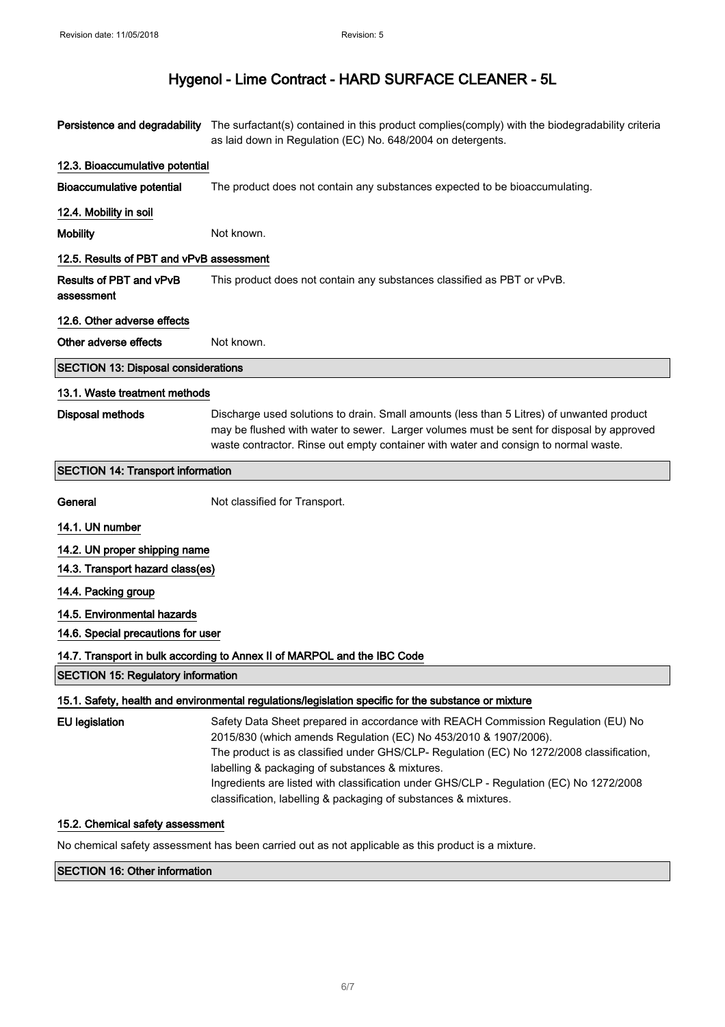|                                                                          | Persistence and degradability The surfactant(s) contained in this product complies(comply) with the biodegradability criteria<br>as laid down in Regulation (EC) No. 648/2004 on detergents.                                                                                                                                                                                                                                                                       |  |
|--------------------------------------------------------------------------|--------------------------------------------------------------------------------------------------------------------------------------------------------------------------------------------------------------------------------------------------------------------------------------------------------------------------------------------------------------------------------------------------------------------------------------------------------------------|--|
| 12.3. Bioaccumulative potential                                          |                                                                                                                                                                                                                                                                                                                                                                                                                                                                    |  |
| <b>Bioaccumulative potential</b>                                         | The product does not contain any substances expected to be bioaccumulating.                                                                                                                                                                                                                                                                                                                                                                                        |  |
| 12.4. Mobility in soil                                                   |                                                                                                                                                                                                                                                                                                                                                                                                                                                                    |  |
| <b>Mobility</b>                                                          | Not known.                                                                                                                                                                                                                                                                                                                                                                                                                                                         |  |
| 12.5. Results of PBT and vPvB assessment                                 |                                                                                                                                                                                                                                                                                                                                                                                                                                                                    |  |
| Results of PBT and vPvB<br>assessment                                    | This product does not contain any substances classified as PBT or vPvB.                                                                                                                                                                                                                                                                                                                                                                                            |  |
| 12.6. Other adverse effects                                              |                                                                                                                                                                                                                                                                                                                                                                                                                                                                    |  |
| Other adverse effects                                                    | Not known.                                                                                                                                                                                                                                                                                                                                                                                                                                                         |  |
| <b>SECTION 13: Disposal considerations</b>                               |                                                                                                                                                                                                                                                                                                                                                                                                                                                                    |  |
| 13.1. Waste treatment methods                                            |                                                                                                                                                                                                                                                                                                                                                                                                                                                                    |  |
| <b>Disposal methods</b>                                                  | Discharge used solutions to drain. Small amounts (less than 5 Litres) of unwanted product<br>may be flushed with water to sewer. Larger volumes must be sent for disposal by approved<br>waste contractor. Rinse out empty container with water and consign to normal waste.                                                                                                                                                                                       |  |
| <b>SECTION 14: Transport information</b>                                 |                                                                                                                                                                                                                                                                                                                                                                                                                                                                    |  |
| General                                                                  | Not classified for Transport.                                                                                                                                                                                                                                                                                                                                                                                                                                      |  |
| 14.1. UN number                                                          |                                                                                                                                                                                                                                                                                                                                                                                                                                                                    |  |
| 14.2. UN proper shipping name                                            |                                                                                                                                                                                                                                                                                                                                                                                                                                                                    |  |
| 14.3. Transport hazard class(es)                                         |                                                                                                                                                                                                                                                                                                                                                                                                                                                                    |  |
| 14.4. Packing group                                                      |                                                                                                                                                                                                                                                                                                                                                                                                                                                                    |  |
| 14.5. Environmental hazards                                              |                                                                                                                                                                                                                                                                                                                                                                                                                                                                    |  |
| 14.6. Special precautions for user                                       |                                                                                                                                                                                                                                                                                                                                                                                                                                                                    |  |
| 14.7. Transport in bulk according to Annex II of MARPOL and the IBC Code |                                                                                                                                                                                                                                                                                                                                                                                                                                                                    |  |
| <b>SECTION 15: Regulatory information</b>                                |                                                                                                                                                                                                                                                                                                                                                                                                                                                                    |  |
|                                                                          | 15.1. Safety, health and environmental regulations/legislation specific for the substance or mixture                                                                                                                                                                                                                                                                                                                                                               |  |
| <b>EU</b> legislation                                                    | Safety Data Sheet prepared in accordance with REACH Commission Regulation (EU) No<br>2015/830 (which amends Regulation (EC) No 453/2010 & 1907/2006).<br>The product is as classified under GHS/CLP- Regulation (EC) No 1272/2008 classification,<br>labelling & packaging of substances & mixtures.<br>Ingredients are listed with classification under GHS/CLP - Regulation (EC) No 1272/2008<br>classification, labelling & packaging of substances & mixtures. |  |
| 15.2. Chemical safety assessment                                         |                                                                                                                                                                                                                                                                                                                                                                                                                                                                    |  |

No chemical safety assessment has been carried out as not applicable as this product is a mixture.

## SECTION 16: Other information